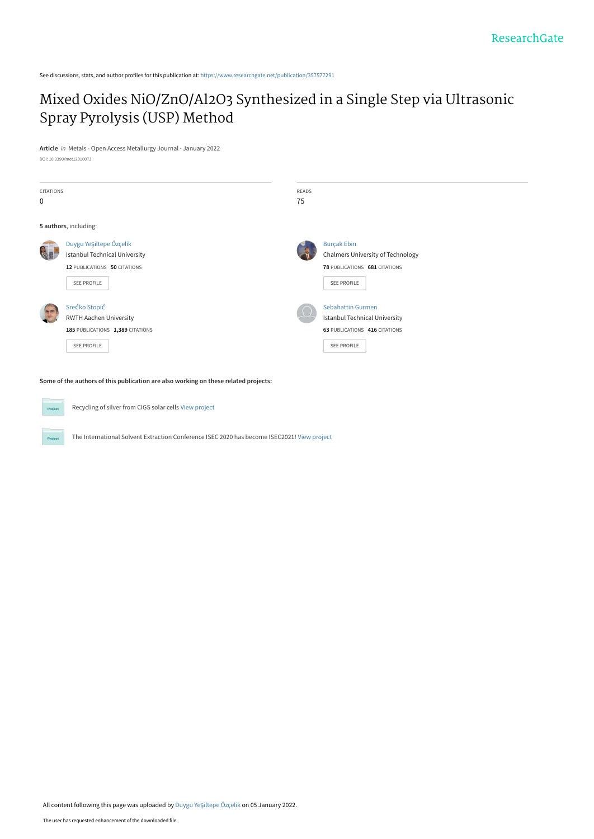See discussions, stats, and author profiles for this publication at: [https://www.researchgate.net/publication/357577291](https://www.researchgate.net/publication/357577291_Mixed_Oxides_NiOZnOAl2O3_Synthesized_in_a_Single_Step_via_Ultrasonic_Spray_Pyrolysis_USP_Method?enrichId=rgreq-da0fec2167dad42a01fbb93f81ca6dd2-XXX&enrichSource=Y292ZXJQYWdlOzM1NzU3NzI5MTtBUzoxMTA4NzkwMzA0ODY2MzExQDE2NDEzNjc2MTc3MTg%3D&el=1_x_2&_esc=publicationCoverPdf)

# [Mixed Oxides NiO/ZnO/Al2O3 Synthesized in a Single Step via Ultrasonic](https://www.researchgate.net/publication/357577291_Mixed_Oxides_NiOZnOAl2O3_Synthesized_in_a_Single_Step_via_Ultrasonic_Spray_Pyrolysis_USP_Method?enrichId=rgreq-da0fec2167dad42a01fbb93f81ca6dd2-XXX&enrichSource=Y292ZXJQYWdlOzM1NzU3NzI5MTtBUzoxMTA4NzkwMzA0ODY2MzExQDE2NDEzNjc2MTc3MTg%3D&el=1_x_3&_esc=publicationCoverPdf) Spray Pyrolysis (USP) Method

**Article** in Metals - Open Access Metallurgy Journal · January 2022 DOI: 10.3390/met12010073

| <b>CITATIONS</b><br>0 |                                                                                                                | <b>READS</b><br>75 |                                                                                                                  |
|-----------------------|----------------------------------------------------------------------------------------------------------------|--------------------|------------------------------------------------------------------------------------------------------------------|
|                       | 5 authors, including:                                                                                          |                    |                                                                                                                  |
|                       | Duygu Yeşiltepe Özçelik<br><b>Istanbul Technical University</b><br>12 PUBLICATIONS 50 CITATIONS<br>SEE PROFILE |                    | <b>Burçak Ebin</b><br>Chalmers University of Technology<br>78 PUBLICATIONS 681 CITATIONS<br>SEE PROFILE          |
|                       | Srećko Stopić<br><b>RWTH Aachen University</b><br>185 PUBLICATIONS 1,389 CITATIONS<br>SEE PROFILE              |                    | <b>Sebahattin Gurmen</b><br><b>Istanbul Technical University</b><br>63 PUBLICATIONS 416 CITATIONS<br>SEE PROFILE |

**Some of the authors of this publication are also working on these related projects:**

Recycling of silver from CIGS solar cells [View project](https://www.researchgate.net/project/Recycling-of-silver-from-CIGS-solar-cells?enrichId=rgreq-da0fec2167dad42a01fbb93f81ca6dd2-XXX&enrichSource=Y292ZXJQYWdlOzM1NzU3NzI5MTtBUzoxMTA4NzkwMzA0ODY2MzExQDE2NDEzNjc2MTc3MTg%3D&el=1_x_9&_esc=publicationCoverPdf)

The International Solvent Extraction Conference ISEC 2020 has become ISEC2021! [View project](https://www.researchgate.net/project/The-International-Solvent-Extraction-Conference-ISEC-2020-has-become-ISEC2021?enrichId=rgreq-da0fec2167dad42a01fbb93f81ca6dd2-XXX&enrichSource=Y292ZXJQYWdlOzM1NzU3NzI5MTtBUzoxMTA4NzkwMzA0ODY2MzExQDE2NDEzNjc2MTc3MTg%3D&el=1_x_9&_esc=publicationCoverPdf)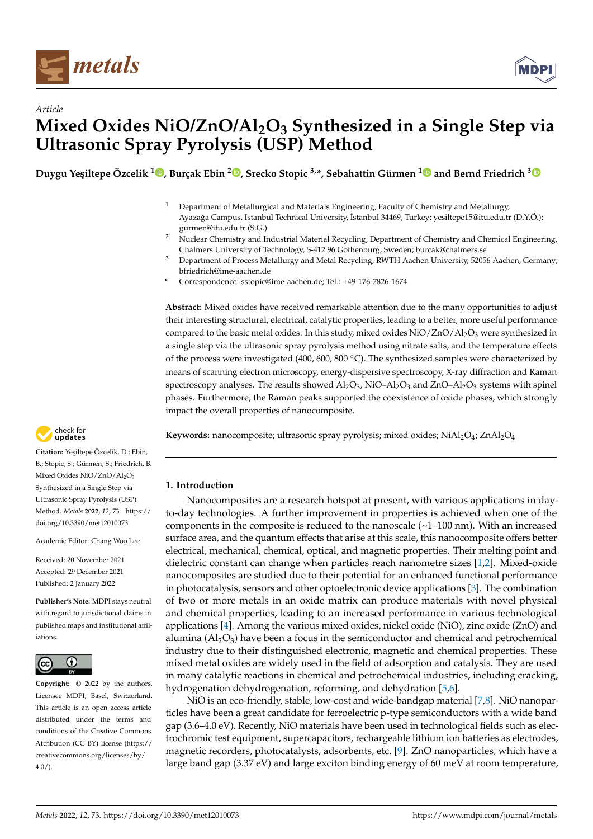



**Duygu Ye¸siltepe Özcelik <sup>1</sup> [,](https://orcid.org/0000-0001-6273-1202) Burçak Ebin <sup>2</sup> [,](https://orcid.org/0000-0002-0737-0835) Srecko Stopic 3,\*, Sebahattin Gürmen [1](https://orcid.org/0000-0002-3830-9041) and Bernd Friedrich [3](https://orcid.org/0000-0002-2934-2034)**

- <sup>1</sup> Department of Metallurgical and Materials Engineering, Faculty of Chemistry and Metallurgy, Ayazağa Campus, Istanbul Technical University, İstanbul 34469, Turkey; yesiltepe15@itu.edu.tr (D.Y.Ö.); gurmen@itu.edu.tr (S.G.)
- <sup>2</sup> Nuclear Chemistry and Industrial Material Recycling, Department of Chemistry and Chemical Engineering, Chalmers University of Technology, S-412 96 Gothenburg, Sweden; burcak@chalmers.se
- <sup>3</sup> Department of Process Metallurgy and Metal Recycling, RWTH Aachen University, 52056 Aachen, Germany; bfriedrich@ime-aachen.de
- **\*** Correspondence: sstopic@ime-aachen.de; Tel.: +49-176-7826-1674

**Abstract:** Mixed oxides have received remarkable attention due to the many opportunities to adjust their interesting structural, electrical, catalytic properties, leading to a better, more useful performance compared to the basic metal oxides. In this study, mixed oxides  $NiO/ZnO/Al_2O_3$  were synthesized in a single step via the ultrasonic spray pyrolysis method using nitrate salts, and the temperature effects of the process were investigated (400, 600, 800 ◦C). The synthesized samples were characterized by means of scanning electron microscopy, energy-dispersive spectroscopy, X-ray diffraction and Raman spectroscopy analyses. The results showed  $\text{Al}_2\text{O}_3$ , NiO–Al $_2\text{O}_3$  and ZnO–Al $_2\text{O}_3$  systems with spinel phases. Furthermore, the Raman peaks supported the coexistence of oxide phases, which strongly impact the overall properties of nanocomposite.

**Keywords:** nanocomposite; ultrasonic spray pyrolysis; mixed oxides; NiAl2O<sub>4</sub>; ZnAl2O<sub>4</sub>

# **1. Introduction**

Nanocomposites are a research hotspot at present, with various applications in dayto-day technologies. A further improvement in properties is achieved when one of the components in the composite is reduced to the nanoscale  $(\sim1-100 \text{ nm})$ . With an increased surface area, and the quantum effects that arise at this scale, this nanocomposite offers better electrical, mechanical, chemical, optical, and magnetic properties. Their melting point and dielectric constant can change when particles reach nanometre sizes [\[1](#page-9-0)[,2\]](#page-9-1). Mixed-oxide nanocomposites are studied due to their potential for an enhanced functional performance in photocatalysis, sensors and other optoelectronic device applications [\[3\]](#page-9-2). The combination of two or more metals in an oxide matrix can produce materials with novel physical and chemical properties, leading to an increased performance in various technological applications [\[4\]](#page-9-3). Among the various mixed oxides, nickel oxide (NiO), zinc oxide (ZnO) and alumina  $(A_1O_3)$  have been a focus in the semiconductor and chemical and petrochemical industry due to their distinguished electronic, magnetic and chemical properties. These mixed metal oxides are widely used in the field of adsorption and catalysis. They are used in many catalytic reactions in chemical and petrochemical industries, including cracking, hydrogenation dehydrogenation, reforming, and dehydration [\[5](#page-9-4)[,6\]](#page-9-5).

NiO is an eco-friendly, stable, low-cost and wide-bandgap material [\[7,](#page-9-6)[8\]](#page-9-7). NiO nanoparticles have been a great candidate for ferroelectric p-type semiconductors with a wide band gap (3.6–4.0 eV). Recently, NiO materials have been used in technological fields such as electrochromic test equipment, supercapacitors, rechargeable lithium ion batteries as electrodes, magnetic recorders, photocatalysts, adsorbents, etc. [\[9\]](#page-9-8). ZnO nanoparticles, which have a large band gap (3.37 eV) and large exciton binding energy of 60 meV at room temperature,



**Citation:** Ye¸siltepe Özcelik, D.; Ebin, B.; Stopic, S.; Gürmen, S.; Friedrich, B. Mixed Oxides NiO/ZnO/Al<sub>2</sub>O<sub>3</sub> Synthesized in a Single Step via Ultrasonic Spray Pyrolysis (USP) Method. *Metals* **2022**, *12*, 73. [https://](https://doi.org/10.3390/met12010073) [doi.org/10.3390/met12010073](https://doi.org/10.3390/met12010073)

Academic Editor: Chang Woo Lee

Received: 20 November 2021 Accepted: 29 December 2021 Published: 2 January 2022

**Publisher's Note:** MDPI stays neutral with regard to jurisdictional claims in published maps and institutional affiliations.



**Copyright:** © 2022 by the authors. Licensee MDPI, Basel, Switzerland. This article is an open access article distributed under the terms and conditions of the Creative Commons Attribution (CC BY) license [\(https://](https://creativecommons.org/licenses/by/4.0/) [creativecommons.org/licenses/by/](https://creativecommons.org/licenses/by/4.0/)  $4.0/$ ).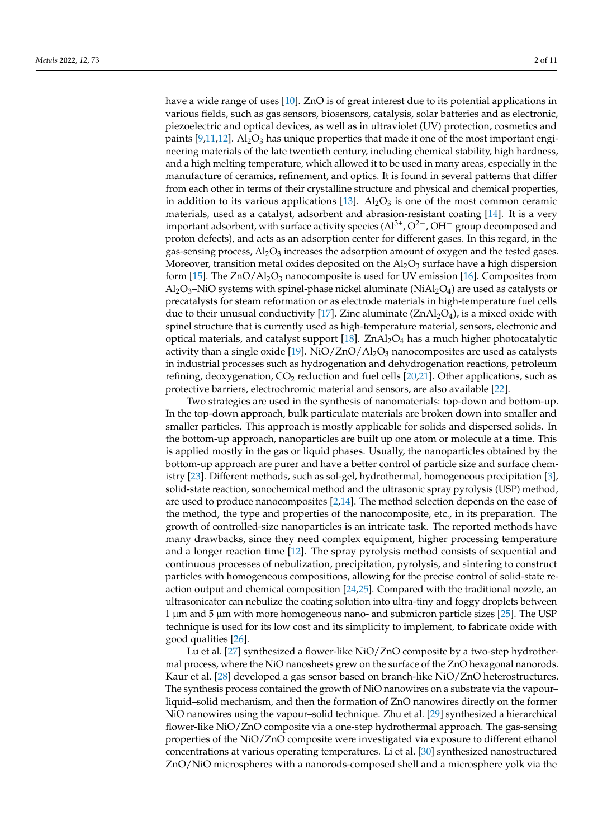have a wide range of uses [\[10\]](#page-9-9). ZnO is of great interest due to its potential applications in various fields, such as gas sensors, biosensors, catalysis, solar batteries and as electronic, piezoelectric and optical devices, as well as in ultraviolet (UV) protection, cosmetics and paints  $[9,11,12]$  $[9,11,12]$  $[9,11,12]$ . Al<sub>2</sub>O<sub>3</sub> has unique properties that made it one of the most important engineering materials of the late twentieth century, including chemical stability, high hardness, and a high melting temperature, which allowed it to be used in many areas, especially in the manufacture of ceramics, refinement, and optics. It is found in several patterns that differ from each other in terms of their crystalline structure and physical and chemical properties, in addition to its various applications  $[13]$ . Al<sub>2</sub>O<sub>3</sub> is one of the most common ceramic materials, used as a catalyst, adsorbent and abrasion-resistant coating [\[14\]](#page-10-1). It is a very important adsorbent, with surface activity species  $(A1^{3+}, O^{2-}, OH^-$  group decomposed and proton defects), and acts as an adsorption center for different gases. In this regard, in the gas-sensing process, Al<sub>2</sub>O<sub>3</sub> increases the adsorption amount of oxygen and the tested gases. Moreover, transition metal oxides deposited on the  $Al_2O_3$  surface have a high dispersion form [\[15\]](#page-10-2). The  $ZnO/Al_2O_3$  nanocomposite is used for UV emission [\[16\]](#page-10-3). Composites from  $\text{Al}_2\text{O}_3$ –NiO systems with spinel-phase nickel aluminate (Ni $\text{Al}_2\text{O}_4$ ) are used as catalysts or precatalysts for steam reformation or as electrode materials in high-temperature fuel cells due to their unusual conductivity [\[17\]](#page-10-4). Zinc aluminate  $(ZnAl<sub>2</sub>O<sub>4</sub>)$ , is a mixed oxide with spinel structure that is currently used as high-temperature material, sensors, electronic and optical materials, and catalyst support  $[18]$ . ZnAl<sub>2</sub>O<sub>4</sub> has a much higher photocatalytic activity than a single oxide [\[19\]](#page-10-6). NiO/ZnO/Al<sub>2</sub>O<sub>3</sub> nanocomposites are used as catalysts in industrial processes such as hydrogenation and dehydrogenation reactions, petroleum refining, deoxygenation,  $CO<sub>2</sub>$  reduction and fuel cells [\[20,](#page-10-7)[21\]](#page-10-8). Other applications, such as protective barriers, electrochromic material and sensors, are also available [\[22\]](#page-10-9).

Two strategies are used in the synthesis of nanomaterials: top-down and bottom-up. In the top-down approach, bulk particulate materials are broken down into smaller and smaller particles. This approach is mostly applicable for solids and dispersed solids. In the bottom-up approach, nanoparticles are built up one atom or molecule at a time. This is applied mostly in the gas or liquid phases. Usually, the nanoparticles obtained by the bottom-up approach are purer and have a better control of particle size and surface chemistry [\[23\]](#page-10-10). Different methods, such as sol-gel, hydrothermal, homogeneous precipitation [\[3\]](#page-9-2), solid-state reaction, sonochemical method and the ultrasonic spray pyrolysis (USP) method, are used to produce nanocomposites [\[2,](#page-9-1)[14\]](#page-10-1). The method selection depends on the ease of the method, the type and properties of the nanocomposite, etc., in its preparation. The growth of controlled-size nanoparticles is an intricate task. The reported methods have many drawbacks, since they need complex equipment, higher processing temperature and a longer reaction time [\[12\]](#page-9-11). The spray pyrolysis method consists of sequential and continuous processes of nebulization, precipitation, pyrolysis, and sintering to construct particles with homogeneous compositions, allowing for the precise control of solid-state reaction output and chemical composition [\[24,](#page-10-11)[25\]](#page-10-12). Compared with the traditional nozzle, an ultrasonicator can nebulize the coating solution into ultra-tiny and foggy droplets between  $1 \mu m$  and  $5 \mu m$  with more homogeneous nano- and submicron particle sizes [\[25\]](#page-10-12). The USP technique is used for its low cost and its simplicity to implement, to fabricate oxide with good qualities [\[26\]](#page-10-13).

Lu et al. [\[27\]](#page-10-14) synthesized a flower-like NiO/ZnO composite by a two-step hydrothermal process, where the NiO nanosheets grew on the surface of the ZnO hexagonal nanorods. Kaur et al. [\[28\]](#page-10-15) developed a gas sensor based on branch-like NiO/ZnO heterostructures. The synthesis process contained the growth of NiO nanowires on a substrate via the vapour– liquid–solid mechanism, and then the formation of ZnO nanowires directly on the former NiO nanowires using the vapour–solid technique. Zhu et al. [\[29\]](#page-10-16) synthesized a hierarchical flower-like NiO/ZnO composite via a one-step hydrothermal approach. The gas-sensing properties of the NiO/ZnO composite were investigated via exposure to different ethanol concentrations at various operating temperatures. Li et al. [\[30\]](#page-10-17) synthesized nanostructured ZnO/NiO microspheres with a nanorods-composed shell and a microsphere yolk via the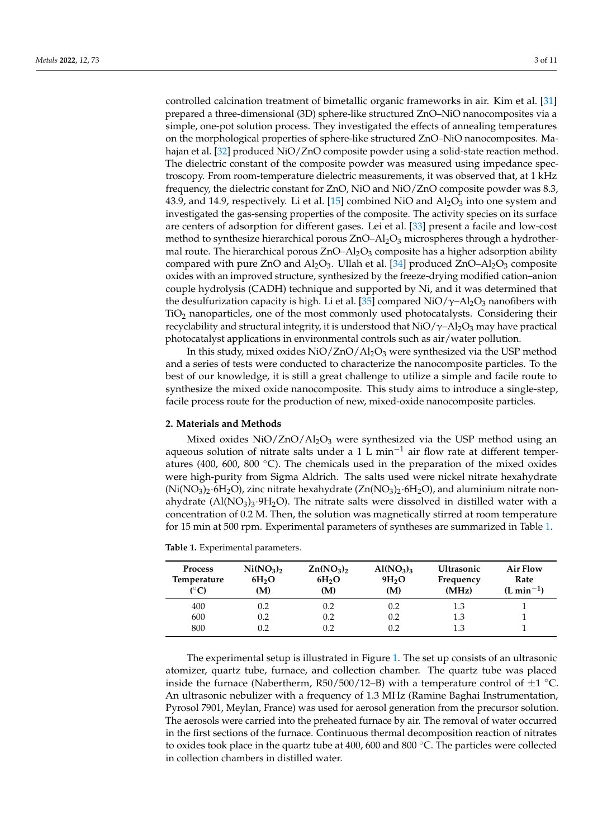controlled calcination treatment of bimetallic organic frameworks in air. Kim et al. [\[31\]](#page-10-18) prepared a three-dimensional (3D) sphere-like structured ZnO–NiO nanocomposites via a simple, one-pot solution process. They investigated the effects of annealing temperatures on the morphological properties of sphere-like structured ZnO–NiO nanocomposites. Ma-hajan et al. [\[32\]](#page-10-19) produced NiO/ZnO composite powder using a solid-state reaction method. The dielectric constant of the composite powder was measured using impedance spectroscopy. From room-temperature dielectric measurements, it was observed that, at 1 kHz frequency, the dielectric constant for ZnO, NiO and NiO/ZnO composite powder was 8.3, 43.9, and 14.9, respectively. Li et al. [\[15\]](#page-10-2) combined NiO and  $\text{Al}_2\text{O}_3$  into one system and investigated the gas-sensing properties of the composite. The activity species on its surface are centers of adsorption for different gases. Lei et al. [\[33\]](#page-10-20) present a facile and low-cost method to synthesize hierarchical porous  $ZnO-Al<sub>2</sub>O<sub>3</sub>$  microspheres through a hydrothermal route. The hierarchical porous  $ZnO-Al<sub>2</sub>O<sub>3</sub>$  composite has a higher adsorption ability compared with pure ZnO and  $Al_2O_3$ . Ullah et al. [\[34\]](#page-10-21) produced ZnO–Al<sub>2</sub>O<sub>3</sub> composite oxides with an improved structure, synthesized by the freeze-drying modified cation–anion couple hydrolysis (CADH) technique and supported by Ni, and it was determined that the desulfurization capacity is high. Li et al. [\[35\]](#page-10-22) compared NiO/ $\gamma$ -Al<sub>2</sub>O<sub>3</sub> nanofibers with TiO<sup>2</sup> nanoparticles, one of the most commonly used photocatalysts. Considering their recyclability and structural integrity, it is understood that  $NiO/\gamma$ –Al<sub>2</sub>O<sub>3</sub> may have practical photocatalyst applications in environmental controls such as air/water pollution.

In this study, mixed oxides  $NiO/ZnO/Al<sub>2</sub>O<sub>3</sub>$  were synthesized via the USP method and a series of tests were conducted to characterize the nanocomposite particles. To the best of our knowledge, it is still a great challenge to utilize a simple and facile route to synthesize the mixed oxide nanocomposite. This study aims to introduce a single-step, facile process route for the production of new, mixed-oxide nanocomposite particles.

## **2. Materials and Methods**

Mixed oxides  $NiO/ZnO/Al<sub>2</sub>O<sub>3</sub>$  were synthesized via the USP method using an aqueous solution of nitrate salts under a 1 L min−<sup>1</sup> air flow rate at different temperatures (400, 600, 800  $^{\circ}$ C). The chemicals used in the preparation of the mixed oxides were high-purity from Sigma Aldrich. The salts used were nickel nitrate hexahydrate  $(Ni(NO<sub>3</sub>)<sub>2</sub>·6H<sub>2</sub>O)$ , zinc nitrate hexahydrate  $(Zn(NO<sub>3</sub>)<sub>2</sub>·6H<sub>2</sub>O)$ , and aluminium nitrate nonahydrate (Al(NO<sub>3</sub>)<sub>3</sub>.9H<sub>2</sub>O). The nitrate salts were dissolved in distilled water with a concentration of 0.2 M. Then, the solution was magnetically stirred at room temperature for 15 min at 500 rpm. Experimental parameters of syntheses are summarized in Table [1.](#page-3-0)

| <b>Process</b><br>Temperature<br>$(^{\circ}C)$ | Ni(NO <sub>3</sub> ) <sub>2</sub><br>6H <sub>2</sub> O<br>(M) | $\text{Zn}(\text{NO}_3)_2$<br>6H <sub>2</sub> O<br>(M) | Al(NO <sub>3</sub> ) <sub>3</sub><br>9H <sub>2</sub> O<br>(M) | <b>Ultrasonic</b><br>Frequency<br>(MHz) | Air Flow<br>Rate<br>$(L \text{ min}^{-1})$ |
|------------------------------------------------|---------------------------------------------------------------|--------------------------------------------------------|---------------------------------------------------------------|-----------------------------------------|--------------------------------------------|
| 400                                            | 0.2                                                           | 0.2                                                    | 0.2                                                           | 1.3                                     |                                            |
| 600                                            | 0.2                                                           | 0.2                                                    | 0.2                                                           | 1.3                                     |                                            |
| 800                                            | 0.2                                                           | 0.2                                                    | 0.2                                                           | 1.3                                     |                                            |

<span id="page-3-0"></span>**Table 1.** Experimental parameters.

The experimental setup is illustrated in Figure [1.](#page-4-0) The set up consists of an ultrasonic atomizer, quartz tube, furnace, and collection chamber. The quartz tube was placed inside the furnace (Nabertherm, R50/500/12–B) with a temperature control of  $\pm 1$  °C. An ultrasonic nebulizer with a frequency of 1.3 MHz (Ramine Baghai Instrumentation, Pyrosol 7901, Meylan, France) was used for aerosol generation from the precursor solution. The aerosols were carried into the preheated furnace by air. The removal of water occurred in the first sections of the furnace. Continuous thermal decomposition reaction of nitrates to oxides took place in the quartz tube at 400, 600 and 800 ◦C. The particles were collected in collection chambers in distilled water.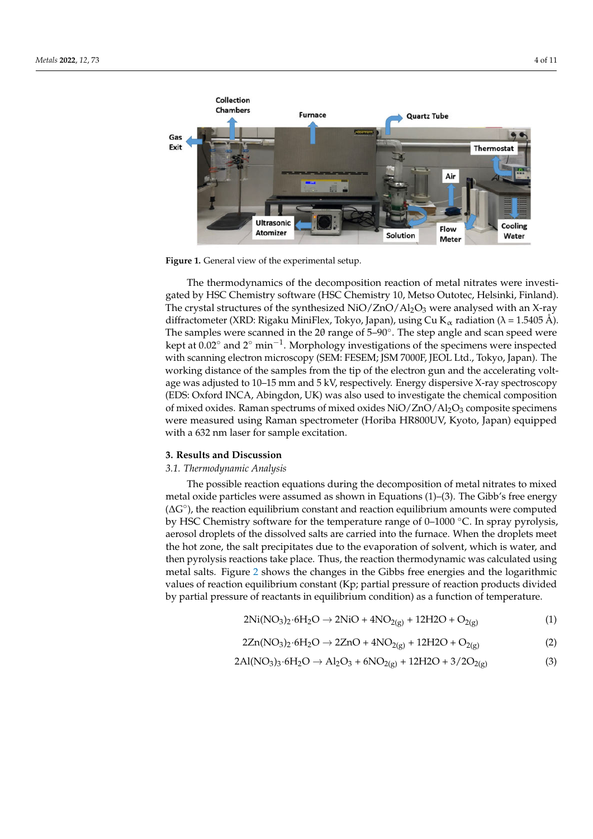<span id="page-4-0"></span>

**Figure 1.** General view of the experimental setup.

diffractometer (XRD: Rigaku MiniFlex, Tokyo, Japan), using Cu K $_\alpha$  radiation ( $\lambda$  = 1.5405 Å). The samples were scanned in the 2 $\theta$  range of 5–90°. The step angle and scan speed were kept at 0.02° and 2° min<sup>-1</sup>. Morphology investigations of the specimens were inspected The thermodynamics of the decomposition reaction of metal nitrates were investigated by HSC Chemistry software (HSC Chemistry 10, Metso Outotec, Helsinki, Finland). The crystal structures of the synthesized  $NiO/ZnO/Al<sub>2</sub>O<sub>3</sub>$  were analysed with an X-ray with scanning electron microscopy (SEM: FESEM; JSM 7000F, JEOL Ltd., Tokyo, Japan). The working distance of the samples from the tip of the electron gun and the accelerating voltage was adjusted to 10–15 mm and 5 kV, respectively. Energy dispersive X-ray spectroscopy (EDS: Oxford INCA, Abingdon, UK) was also used to investigate the chemical composition of mixed oxides. Raman spectrums of mixed oxides NiO/ZnO/Al<sub>2</sub>O<sub>3</sub> composite specimens were measured using Raman spectrometer (Horiba HR800UV, Kyoto, Japan) equipped with a 632 nm laser for sample excitation.

## **3. Results and Discussion**

## *3.1. Thermodynamic Analysis*

‒ (∆G◦ ), the reaction equilibrium constant and reaction equilibrium amounts were computed ∆ by HSC Chemistry software for the temperature range of 0–1000 ◦C. In spray pyrolysis, The possible reaction equations during the decomposition of metal nitrates to mixed metal oxide particles were assumed as shown in Equations (1)–(3). The Gibb's free energy aerosol droplets of the dissolved salts are carried into the furnace. When the droplets meet the hot zone, the salt precipitates due to the evaporation of solvent, which is water, and then pyrolysis reactions take place. Thus, the reaction thermodynamic was calculated using metal salts. Figure [2](#page-5-0) shows the changes in the Gibbs free energies and the logarithmic values of reaction equilibrium constant (Kp; partial pressure of reaction products divided by partial pressure of reactants in equilibrium condition) as a function of temperature.

$$
2Ni(NO3)2·6H2O \to 2NiO + 4NO2(g) + 12H2O + O2(g)
$$
 (1)

$$
2Zn(NO3)2·6H2O \to 2ZnO + 4NO2(g) + 12H2O + O2(g)
$$
 (2)

$$
2Al(NO_3)_3.6H_2O \to Al_2O_3 + 6NO_{2(g)} + 12H2O + 3/2O_{2(g)}
$$
 (3)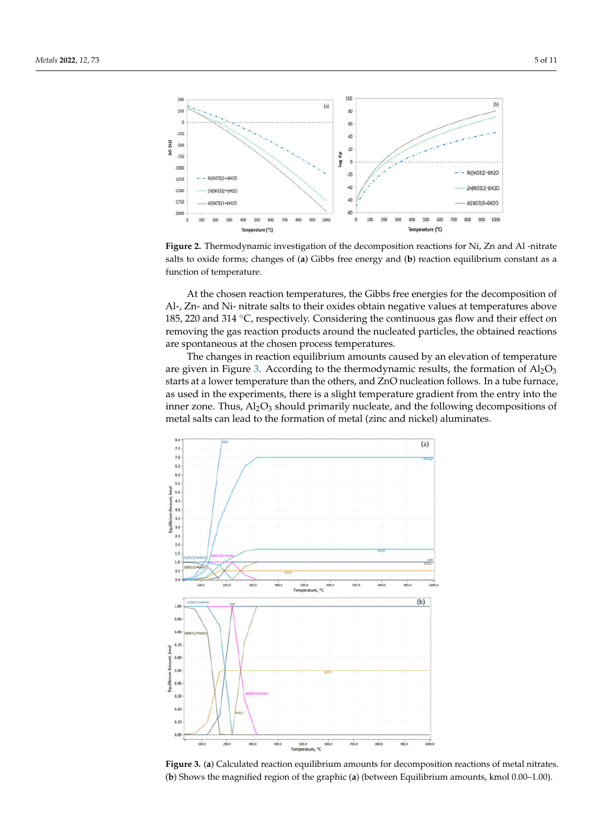<span id="page-5-0"></span>

At the chosen reaction temperatures, the Gibbs free energies for the decomposition of Al-, Zn- and Ni- nitrate salts to their oxides obtain negative values at temperatures above 185, 220 and 314 ◦C, respectively. Considering the continuous gas flow and their effect on removing the gas reaction products around the nucleated particles, the obtained reactions are spontaneous at the chosen process temperatures.

The changes in reaction equilibrium amounts caused by an elevation of temperature are given in Figure [3.](#page-5-1) According to the thermodynamic results, the formation of  $A<sub>1</sub>O<sub>3</sub>$ starts at a lower temperature than the others, and ZnO nucleation follows. In a tube furnace, as used in the experiments, there is a slight temperature gradient from the entry into the inner zone. Thus,  $Al_2O_3$  should primarily nucleate, and the following decompositions of metal salts can lead to the formation of metal (zinc and nickel) aluminates.

<span id="page-5-1"></span>

**Figure 3.** (**a**) Calculated reaction equilibrium amounts for decomposition reactions of metal nitrates. (**b**) Shows the magnified region of the graphic (**a**) (between Equilibrium amounts, kmol 0.00–1.00).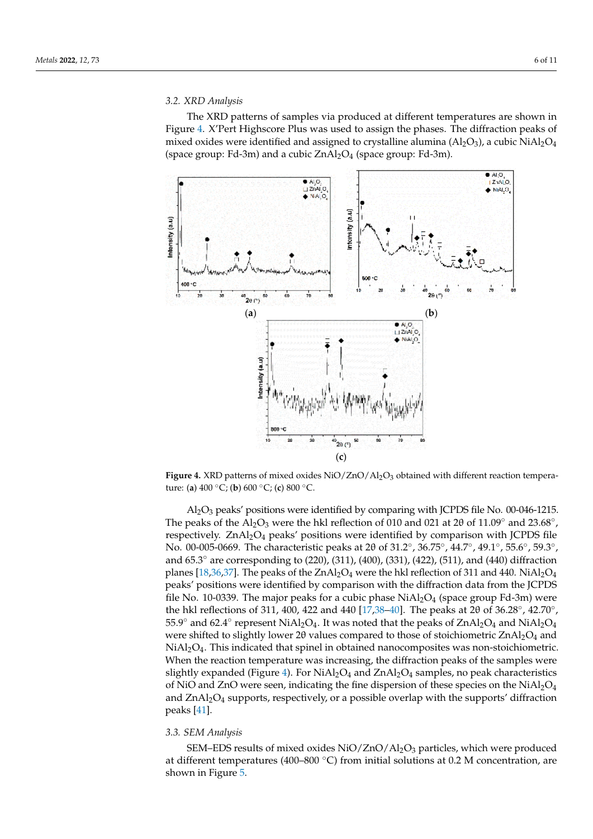

#### *3.2. XRD Analysis*

The XRD patterns of samples via produced at different temperatures are shown in Figure [4.](#page-6-0) X'Pert Highscore Plus was used to assign the phases. The diffraction peaks of mixed oxides were identified and assigned to crystalline alumina  $(A_2O_3)$ , a cubic Ni $A_2O_4$ (space group: Fd-3m) and a cubic  $ZnAl<sub>2</sub>O<sub>4</sub>$  (space group: Fd-3m).

<span id="page-6-0"></span>

**Figure 4.** XRD patterns of mixed oxides NiO/ZnO/Al<sub>2</sub>O<sub>3</sub> obtained with different reaction temperature: (**a**) 400 ◦C; (**b**) 600 ◦C; (**c**) 800 ◦C.

The peaks of the  $\text{Al}_2\text{O}_3$  were the hkl reflection of 010 and 021 at 20 of 11.09° and 23.68°,  $A<sub>1</sub>O<sub>3</sub>$  peaks' positions were identified by comparing with JCPDS file No. 00-046-1215. respectively.  $ZnAl_2O_4$  peaks' positions were identified by comparison with JCPDS file No. 00-005-0669. The characteristic peaks at 2θ of 31.2°, 36.75°, 44.7°, 49.1°, 55.6°, 59.3°, and 65.3◦ are corresponding to (220), (311), (400), (331), (422), (511), and (440) diffraction planes [\[18,](#page-10-5)[36,](#page-10-23)[37\]](#page-10-24). The peaks of the  $ZnAl_2O_4$  were the hkl reflection of 311 and 440. NiAl<sub>2</sub>O<sub>4</sub> peaks' positions were identified by comparison with the diffraction data from the JCPDS file No. 10-0339. The major peaks for a cubic phase  $NiAl<sub>2</sub>O<sub>4</sub>$  (space group Fd-3m) were the hkl reflections of 311, 400, 422 and 440 [ $17,38-40$  $17,38-40$  $17,38-40$ ]. The peaks at 20 of 36.28°, 42.70°, 55.9<sup>°</sup> and 62.4<sup>°</sup> represent NiAl<sub>2</sub>O<sub>4</sub>. It was noted that the peaks of ZnAl<sub>2</sub>O<sub>4</sub> and NiAl<sub>2</sub>O<sub>4</sub> were shifted to slightly lower 2θ values compared to those of stoichiometric  $ZnAl_2O_4$  and  $NiAl<sub>2</sub>O<sub>4</sub>$ . This indicated that spinel in obtained nanocomposites was non-stoichiometric. When the reaction temperature was increasing, the diffraction peaks of the samples were slightly expanded (Figure [4\)](#page-6-0). For  $NiAl<sub>2</sub>O<sub>4</sub>$  and  $ZnAl<sub>2</sub>O<sub>4</sub>$  samples, no peak characteristics of NiO and ZnO were seen, indicating the fine dispersion of these species on the  $NiAl<sub>2</sub>O<sub>4</sub>$ and  $ZnAl<sub>2</sub>O<sub>4</sub>$  supports, respectively, or a possible overlap with the supports' diffraction peaks [\[41\]](#page-11-1).

#### *3.3. SEM Analysis*

SEM–EDS results of mixed oxides  $NiO/ZnO/Al_2O_3$  particles, which were produced at different temperatures (400–800 °C) from initial solutions at 0.2 M concentration, are shown in Figure [5.](#page-7-0)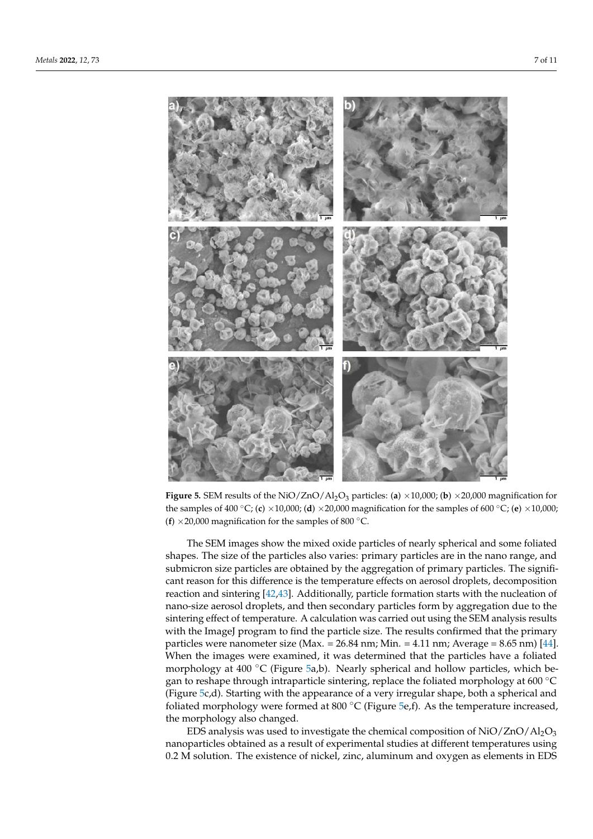<span id="page-7-0"></span>

**Figure 5.** SEM results of the NiO/ZnO/Al2O<sup>3</sup> particles: (**a**) ×10,000; (**b**) ×20,000 magnification for the samples of 400 °C; (**c**) ×10,000; (**d**) ×20,000 magnification for the samples of 600 °C; (**e**) ×10,000; (**f**)  $\times$  20,000 magnification for the samples of 800  $^{\circ}$ C.

The SEM images show the mixed oxide particles of nearly spherical and some foliated shapes. The size of the particles also varies: primary particles are in the nano range, and submicron size particles are obtained by the aggregation of primary particles. The significant reason for this difference is the temperature effects on aerosol droplets, decomposition reaction and sintering [\[42](#page-11-2)[,43\]](#page-11-3). Additionally, particle formation starts with the nucleation of nano-size aerosol droplets, and then secondary particles form by aggregation due to the sintering effect of temperature. A calculation was carried out using the SEM analysis results with the ImageJ program to find the particle size. The results confirmed that the primary particles were nanometer size (Max. = 26.84 nm; Min. = 4.11 nm; Average = 8.65 nm) [\[44\]](#page-11-4). When the images were examined, it was determined that the particles have a foliated morphology at 400 ◦C (Figure [5a](#page-7-0),b). Nearly spherical and hollow particles, which began to reshape through intraparticle sintering, replace the foliated morphology at 600  $^{\circ}$ C (Figure [5c](#page-7-0),d). Starting with the appearance of a very irregular shape, both a spherical and foliated morphology were formed at 800  $^{\circ}$ C (Figure [5e](#page-7-0),f). As the temperature increased, the morphology also changed.

EDS analysis was used to investigate the chemical composition of  $NiO/ZnO/Al_2O_3$ nanoparticles obtained as a result of experimental studies at different temperatures using 0.2 M solution. The existence of nickel, zinc, aluminum and oxygen as elements in EDS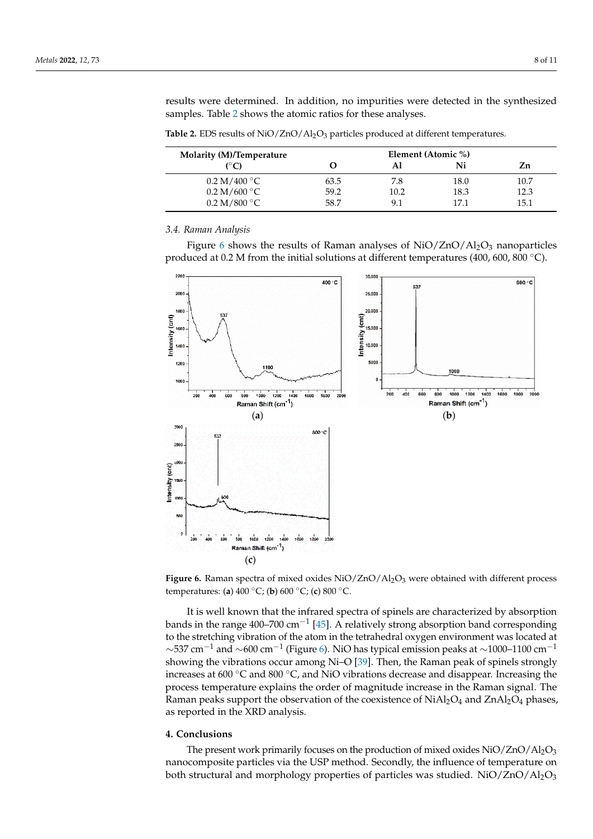results were determined. In addition, no impurities were detected in the synthesized samples. Table [2](#page-8-0) shows the atomic ratios for these analyses.

<span id="page-8-0"></span>

| <b>Table 2.</b> EDS results of $NiO/ZnO/Al_2O_3$ particles produced at different temperatures. |  |  |
|------------------------------------------------------------------------------------------------|--|--|
|------------------------------------------------------------------------------------------------|--|--|

| <b>Molarity (M)/Temperature</b>       | Element (Atomic %) |      |      |      |  |
|---------------------------------------|--------------------|------|------|------|--|
| (°C)                                  |                    | Αl   | Ni   | Zn   |  |
| $0.2~\mathrm{M}/400~^\circ\mathrm{C}$ | 63.5               | 7.8  | 18.0 | 10.7 |  |
| 0.2 M/600 °C                          | 59.2               | 10.2 | 18.3 | 12.3 |  |
| $0.2~\mathrm{M}/800~^\circ\mathrm{C}$ | 58.7               | 9.1  | 171  | 15.1 |  |

#### *3.4. Raman Analysis*

Figure [6](#page-8-1) shows the results of Raman analyses of  $NiO/ZnO/Al<sub>2</sub>O<sub>3</sub>$  nanoparticles produced at 0.2 M from the initial solutions at different temperatures (400, 600, 800 °C).

<span id="page-8-1"></span>

**Figure 6.** Raman spectra of mixed oxides NiO/ZnO/Al<sub>2</sub>O<sub>3</sub> were obtained with different process temperatures: (**a**) 400 ◦C; (**b**) 600 ◦C; (**c**) 800 ◦C.

bands in the range 400–700 cm<sup>-1</sup> [\[45\]](#page-11-5). A relatively strong absorption band corresponding  $\sim$ 537 cm<sup>-1</sup> and  $\sim$ 600 cm<sup>-1</sup> (Figure [6\)](#page-8-1). NiO has typical emission peaks at  $\sim$ 1000-1100 cm<sup>-1</sup> It is well known that the infrared spectra of spinels are characterized by absorption to the stretching vibration of the atom in the tetrahedral oxygen environment was located at showing the vibrations occur among Ni–O [\[39\]](#page-11-6). Then, the Raman peak of spinels strongly increases at 600 ◦C and 800 ◦C, and NiO vibrations decrease and disappear. Increasing the process temperature explains the order of magnitude increase in the Raman signal. The Raman peaks support the observation of the coexistence of  $NiAl<sub>2</sub>O<sub>4</sub>$  and  $ZnAl<sub>2</sub>O<sub>4</sub>$  phases, as reported in the XRD analysis.

#### **4. Conclusions**

The present work primarily focuses on the production of mixed oxides  $NiO/ZnO/Al<sub>2</sub>O<sub>3</sub>$ nanocomposite particles via the USP method. Secondly, the influence of temperature on both structural and morphology properties of particles was studied.  $NiO/ZnO/Al_2O_3$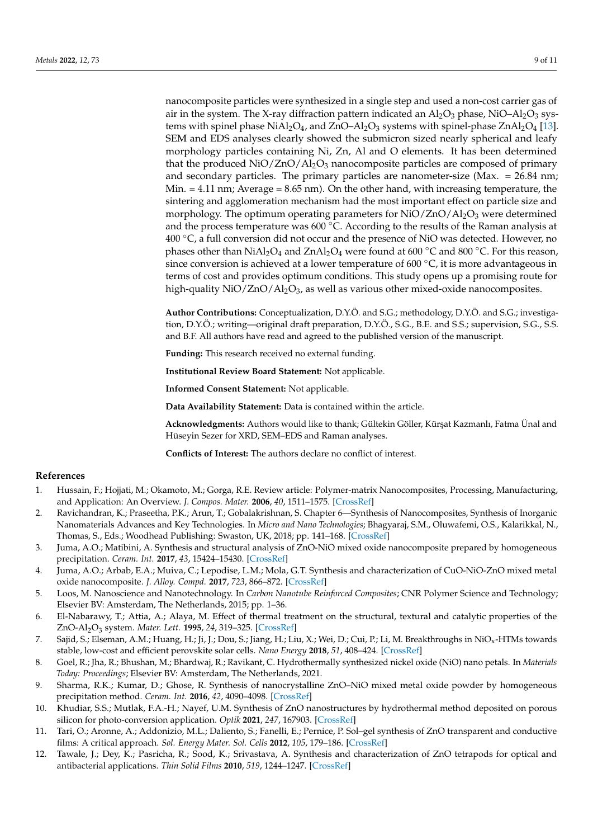nanocomposite particles were synthesized in a single step and used a non-cost carrier gas of air in the system. The X-ray diffraction pattern indicated an  $Al_2O_3$  phase, NiO– $Al_2O_3$  systems with spinel phase  $NiAl<sub>2</sub>O<sub>4</sub>$ , and  $ZnO<sub>4</sub>l<sub>2</sub>O<sub>3</sub>$  systems with spinel-phase  $ZnAl<sub>2</sub>O<sub>4</sub>$  [\[13\]](#page-10-0). SEM and EDS analyses clearly showed the submicron sized nearly spherical and leafy morphology particles containing Ni, Zn, Al and O elements. It has been determined that the produced  $NiO/ZnO/Al_2O_3$  nanocomposite particles are composed of primary and secondary particles. The primary particles are nanometer-size (Max.  $= 26.84$  nm; Min.  $= 4.11$  nm; Average  $= 8.65$  nm). On the other hand, with increasing temperature, the sintering and agglomeration mechanism had the most important effect on particle size and morphology. The optimum operating parameters for  $NiO/ZnO/Al<sub>2</sub>O<sub>3</sub>$  were determined and the process temperature was  $600\degree$ C. According to the results of the Raman analysis at  $400\text{ °C}$ , a full conversion did not occur and the presence of NiO was detected. However, no phases other than  $NiAl<sub>2</sub>O<sub>4</sub>$  and  $ZnAl<sub>2</sub>O<sub>4</sub>$  were found at 600 °C and 800 °C. For this reason, since conversion is achieved at a lower temperature of 600  $^{\circ}$ C, it is more advantageous in terms of cost and provides optimum conditions. This study opens up a promising route for high-quality  $NiO/ZnO/Al<sub>2</sub>O<sub>3</sub>$ , as well as various other mixed-oxide nanocomposites.

**Author Contributions:** Conceptualization, D.Y.Ö. and S.G.; methodology, D.Y.Ö. and S.G.; investigation, D.Y.Ö.; writing—original draft preparation, D.Y.Ö., S.G., B.E. and S.S.; supervision, S.G., S.S. and B.F. All authors have read and agreed to the published version of the manuscript.

**Funding:** This research received no external funding.

**Institutional Review Board Statement:** Not applicable.

**Informed Consent Statement:** Not applicable.

**Data Availability Statement:** Data is contained within the article.

**Acknowledgments:** Authors would like to thank; Gültekin Göller, Kür¸sat Kazmanlı, Fatma Ünal and Hüseyin Sezer for XRD, SEM–EDS and Raman analyses.

**Conflicts of Interest:** The authors declare no conflict of interest.

# **References**

- <span id="page-9-0"></span>1. Hussain, F.; Hojjati, M.; Okamoto, M.; Gorga, R.E. Review article: Polymer-matrix Nanocomposites, Processing, Manufacturing, and Application: An Overview. *J. Compos. Mater.* **2006**, *40*, 1511–1575. [\[CrossRef\]](http://doi.org/10.1177/0021998306067321)
- <span id="page-9-1"></span>2. Ravichandran, K.; Praseetha, P.K.; Arun, T.; Gobalakrishnan, S. Chapter 6—Synthesis of Nanocomposites, Synthesis of Inorganic Nanomaterials Advances and Key Technologies. In *Micro and Nano Technologies*; Bhagyaraj, S.M., Oluwafemi, O.S., Kalarikkal, N., Thomas, S., Eds.; Woodhead Publishing: Swaston, UK, 2018; pp. 141–168. [\[CrossRef\]](http://doi.org/10.1016/B978-0-08-101975-7.00006-3)
- <span id="page-9-2"></span>3. Juma, A.O.; Matibini, A. Synthesis and structural analysis of ZnO-NiO mixed oxide nanocomposite prepared by homogeneous precipitation. *Ceram. Int.* **2017**, *43*, 15424–15430. [\[CrossRef\]](http://doi.org/10.1016/j.ceramint.2017.08.085)
- <span id="page-9-3"></span>4. Juma, A.O.; Arbab, E.A.; Muiva, C.; Lepodise, L.M.; Mola, G.T. Synthesis and characterization of CuO-NiO-ZnO mixed metal oxide nanocomposite. *J. Alloy. Compd.* **2017**, *723*, 866–872. [\[CrossRef\]](http://doi.org/10.1016/j.jallcom.2017.06.288)
- <span id="page-9-4"></span>5. Loos, M. Nanoscience and Nanotechnology. In *Carbon Nanotube Reinforced Composites*; CNR Polymer Science and Technology; Elsevier BV: Amsterdam, The Netherlands, 2015; pp. 1–36.
- <span id="page-9-5"></span>6. El-Nabarawy, T.; Attia, A.; Alaya, M. Effect of thermal treatment on the structural, textural and catalytic properties of the ZnO-Al2O<sup>3</sup> system. *Mater. Lett.* **1995**, *24*, 319–325. [\[CrossRef\]](http://doi.org/10.1016/0167-577X(95)00101-8)
- <span id="page-9-6"></span>7. Sajid, S.; Elseman, A.M.; Huang, H.; Ji, J.; Dou, S.; Jiang, H.; Liu, X.; Wei, D.; Cui, P.; Li, M. Breakthroughs in NiOx-HTMs towards stable, low-cost and efficient perovskite solar cells. *Nano Energy* **2018**, *51*, 408–424. [\[CrossRef\]](http://doi.org/10.1016/j.nanoen.2018.06.082)
- <span id="page-9-7"></span>8. Goel, R.; Jha, R.; Bhushan, M.; Bhardwaj, R.; Ravikant, C. Hydrothermally synthesized nickel oxide (NiO) nano petals. In *Materials Today: Proceedings*; Elsevier BV: Amsterdam, The Netherlands, 2021.
- <span id="page-9-8"></span>9. Sharma, R.K.; Kumar, D.; Ghose, R. Synthesis of nanocrystalline ZnO–NiO mixed metal oxide powder by homogeneous precipitation method. *Ceram. Int.* **2016**, *42*, 4090–4098. [\[CrossRef\]](http://doi.org/10.1016/j.ceramint.2015.11.081)
- <span id="page-9-9"></span>10. Khudiar, S.S.; Mutlak, F.A.-H.; Nayef, U.M. Synthesis of ZnO nanostructures by hydrothermal method deposited on porous silicon for photo-conversion application. *Optik* **2021**, *247*, 167903. [\[CrossRef\]](http://doi.org/10.1016/j.ijleo.2021.167903)
- <span id="page-9-10"></span>11. Tari, O.; Aronne, A.; Addonizio, M.L.; Daliento, S.; Fanelli, E.; Pernice, P. Sol–gel synthesis of ZnO transparent and conductive films: A critical approach. *Sol. Energy Mater. Sol. Cells* **2012**, *105*, 179–186. [\[CrossRef\]](http://doi.org/10.1016/j.solmat.2012.06.016)
- <span id="page-9-11"></span>12. Tawale, J.; Dey, K.; Pasricha, R.; Sood, K.; Srivastava, A. Synthesis and characterization of ZnO tetrapods for optical and antibacterial applications. *Thin Solid Films* **2010**, *519*, 1244–1247. [\[CrossRef\]](http://doi.org/10.1016/j.tsf.2010.08.077)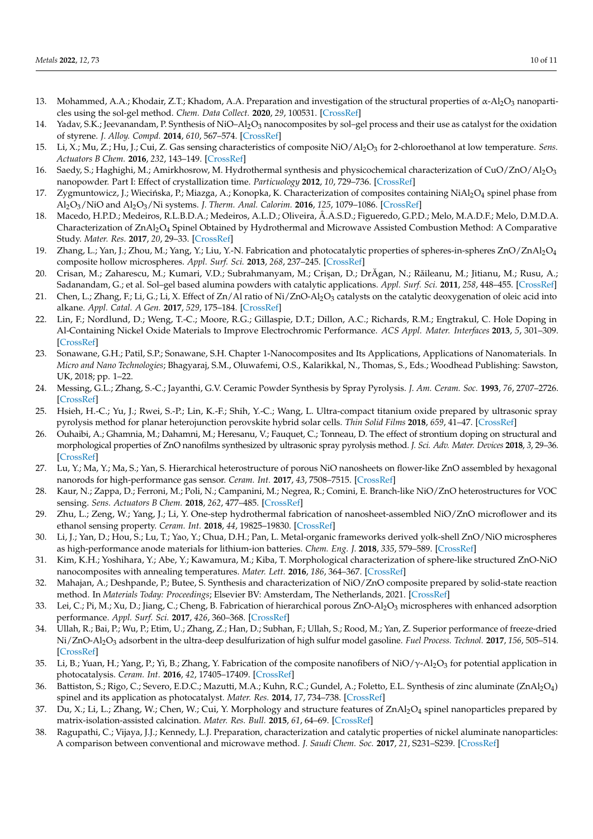- <span id="page-10-0"></span>13. Mohammed, A.A.; Khodair, Z.T.; Khadom, A.A. Preparation and investigation of the structural properties of  $\alpha$ -Al<sub>2</sub>O<sub>3</sub> nanoparticles using the sol-gel method. *Chem. Data Collect.* **2020**, *29*, 100531. [\[CrossRef\]](http://doi.org/10.1016/j.cdc.2020.100531)
- <span id="page-10-1"></span>14. Yadav, S.K.; Jeevanandam, P. Synthesis of NiO–Al<sub>2</sub>O<sub>3</sub> nanocomposites by sol–gel process and their use as catalyst for the oxidation of styrene. *J. Alloy. Compd.* **2014**, *610*, 567–574. [\[CrossRef\]](http://doi.org/10.1016/j.jallcom.2014.05.059)
- <span id="page-10-2"></span>15. Li, X.; Mu, Z.; Hu, J.; Cui, Z. Gas sensing characteristics of composite NiO/Al2O<sup>3</sup> for 2-chloroethanol at low temperature. *Sens. Actuators B Chem.* **2016**, *232*, 143–149. [\[CrossRef\]](http://doi.org/10.1016/j.snb.2016.03.065)
- <span id="page-10-3"></span>16. Saedy, S.; Haghighi, M.; Amirkhosrow, M. Hydrothermal synthesis and physicochemical characterization of CuO/ZnO/Al2O<sup>3</sup> nanopowder. Part I: Effect of crystallization time. *Particuology* **2012**, *10*, 729–736. [\[CrossRef\]](http://doi.org/10.1016/j.partic.2012.05.001)
- <span id="page-10-4"></span>17. Zygmuntowicz, J.; Wiecińska, P.; Miazga, A.; Konopka, K. Characterization of composites containing NiAl<sub>2</sub>O<sub>4</sub> spinel phase from Al2O3/NiO and Al2O3/Ni systems. *J. Therm. Anal. Calorim.* **2016**, *125*, 1079–1086. [\[CrossRef\]](http://doi.org/10.1007/s10973-016-5357-2)
- <span id="page-10-5"></span>18. Macedo, H.P.D.; Medeiros, R.L.B.D.A.; Medeiros, A.L.D.; Oliveira, Â.A.S.D.; Figueredo, G.P.D.; Melo, M.A.D.F.; Melo, D.M.D.A. Characterization of ZnAl<sub>2</sub>O<sub>4</sub> Spinel Obtained by Hydrothermal and Microwave Assisted Combustion Method: A Comparative Study. *Mater. Res.* **2017**, *20*, 29–33. [\[CrossRef\]](http://doi.org/10.1590/1980-5373-mr-2016-0977)
- <span id="page-10-6"></span>19. Zhang, L.; Yan, J.; Zhou, M.; Yang, Y.; Liu, Y.-N. Fabrication and photocatalytic properties of spheres-in-spheres ZnO/ZnAl2O<sup>4</sup> composite hollow microspheres. *Appl. Surf. Sci.* **2013**, *268*, 237–245. [\[CrossRef\]](http://doi.org/10.1016/j.apsusc.2012.12.069)
- <span id="page-10-7"></span>20. Crisan, M.; Zaharescu, M.; Kumari, V.D.; Subrahmanyam, M.; Crişan, D.; DrĂgan, N.; Răileanu, M.; Jitianu, M.; Rusu, A.; Sadanandam, G.; et al. Sol–gel based alumina powders with catalytic applications. *Appl. Surf. Sci.* **2011**, *258*, 448–455. [\[CrossRef\]](http://doi.org/10.1016/j.apsusc.2011.08.104)
- <span id="page-10-8"></span>21. Chen, L.; Zhang, F.; Li, G.; Li, X. Effect of Zn/Al ratio of Ni/ZnO-Al<sub>2</sub>O<sub>3</sub> catalysts on the catalytic deoxygenation of oleic acid into alkane. *Appl. Catal. A Gen.* **2017**, *529*, 175–184. [\[CrossRef\]](http://doi.org/10.1016/j.apcata.2016.11.012)
- <span id="page-10-9"></span>22. Lin, F.; Nordlund, D.; Weng, T.-C.; Moore, R.G.; Gillaspie, D.T.; Dillon, A.C.; Richards, R.M.; Engtrakul, C. Hole Doping in Al-Containing Nickel Oxide Materials to Improve Electrochromic Performance. *ACS Appl. Mater. Interfaces* **2013**, *5*, 301–309. [\[CrossRef\]](http://doi.org/10.1021/am302097b)
- <span id="page-10-10"></span>23. Sonawane, G.H.; Patil, S.P.; Sonawane, S.H. Chapter 1-Nanocomposites and Its Applications, Applications of Nanomaterials. In *Micro and Nano Technologies*; Bhagyaraj, S.M., Oluwafemi, O.S., Kalarikkal, N., Thomas, S., Eds.; Woodhead Publishing: Sawston, UK, 2018; pp. 1–22.
- <span id="page-10-11"></span>24. Messing, G.L.; Zhang, S.-C.; Jayanthi, G.V. Ceramic Powder Synthesis by Spray Pyrolysis. *J. Am. Ceram. Soc.* **1993**, *76*, 2707–2726. [\[CrossRef\]](http://doi.org/10.1111/j.1151-2916.1993.tb04007.x)
- <span id="page-10-12"></span>25. Hsieh, H.-C.; Yu, J.; Rwei, S.-P.; Lin, K.-F.; Shih, Y.-C.; Wang, L. Ultra-compact titanium oxide prepared by ultrasonic spray pyrolysis method for planar heterojunction perovskite hybrid solar cells. *Thin Solid Films* **2018**, *659*, 41–47. [\[CrossRef\]](http://doi.org/10.1016/j.tsf.2018.05.002)
- <span id="page-10-13"></span>26. Ouhaibi, A.; Ghamnia, M.; Dahamni, M.; Heresanu, V.; Fauquet, C.; Tonneau, D. The effect of strontium doping on structural and morphological properties of ZnO nanofilms synthesized by ultrasonic spray pyrolysis method. *J. Sci. Adv. Mater. Devices* **2018**, *3*, 29–36. [\[CrossRef\]](http://doi.org/10.1016/j.jsamd.2018.01.004)
- <span id="page-10-14"></span>27. Lu, Y.; Ma, Y.; Ma, S.; Yan, S. Hierarchical heterostructure of porous NiO nanosheets on flower-like ZnO assembled by hexagonal nanorods for high-performance gas sensor. *Ceram. Int.* **2017**, *43*, 7508–7515. [\[CrossRef\]](http://doi.org/10.1016/j.ceramint.2017.03.032)
- <span id="page-10-15"></span>28. Kaur, N.; Zappa, D.; Ferroni, M.; Poli, N.; Campanini, M.; Negrea, R.; Comini, E. Branch-like NiO/ZnO heterostructures for VOC sensing. *Sens. Actuators B Chem.* **2018**, *262*, 477–485. [\[CrossRef\]](http://doi.org/10.1016/j.snb.2018.02.042)
- <span id="page-10-16"></span>29. Zhu, L.; Zeng, W.; Yang, J.; Li, Y. One-step hydrothermal fabrication of nanosheet-assembled NiO/ZnO microflower and its ethanol sensing property. *Ceram. Int.* **2018**, *44*, 19825–19830. [\[CrossRef\]](http://doi.org/10.1016/j.ceramint.2018.07.240)
- <span id="page-10-17"></span>30. Li, J.; Yan, D.; Hou, S.; Lu, T.; Yao, Y.; Chua, D.H.; Pan, L. Metal-organic frameworks derived yolk-shell ZnO/NiO microspheres as high-performance anode materials for lithium-ion batteries. *Chem. Eng. J.* **2018**, *335*, 579–589. [\[CrossRef\]](http://doi.org/10.1016/j.cej.2017.10.183)
- <span id="page-10-18"></span>31. Kim, K.H.; Yoshihara, Y.; Abe, Y.; Kawamura, M.; Kiba, T. Morphological characterization of sphere-like structured ZnO-NiO nanocomposites with annealing temperatures. *Mater. Lett.* **2016**, *186*, 364–367. [\[CrossRef\]](http://doi.org/10.1016/j.matlet.2016.10.052)
- <span id="page-10-19"></span>32. Mahajan, A.; Deshpande, P.; Butee, S. Synthesis and characterization of NiO/ZnO composite prepared by solid-state reaction method. In *Materials Today: Proceedings*; Elsevier BV: Amsterdam, The Netherlands, 2021. [\[CrossRef\]](http://doi.org/10.1016/j.matpr.2021.09.279)
- <span id="page-10-20"></span>33. Lei, C.; Pi, M.; Xu, D.; Jiang, C.; Cheng, B. Fabrication of hierarchical porous ZnO-Al<sub>2</sub>O<sub>3</sub> microspheres with enhanced adsorption performance. *Appl. Surf. Sci.* **2017**, *426*, 360–368. [\[CrossRef\]](http://doi.org/10.1016/j.apsusc.2017.07.095)
- <span id="page-10-21"></span>34. Ullah, R.; Bai, P.; Wu, P.; Etim, U.; Zhang, Z.; Han, D.; Subhan, F.; Ullah, S.; Rood, M.; Yan, Z. Superior performance of freeze-dried Ni/ZnO-Al2O<sup>3</sup> adsorbent in the ultra-deep desulfurization of high sulfur model gasoline. *Fuel Process. Technol.* **2017**, *156*, 505–514. [\[CrossRef\]](http://doi.org/10.1016/j.fuproc.2016.10.022)
- <span id="page-10-22"></span>35. Li, B.; Yuan, H.; Yang, P.; Yi, B.; Zhang, Y. Fabrication of the composite nanofibers of NiO/ $\gamma$ -Al $_2$ O $_3$  for potential application in photocatalysis. *Ceram. Int.* **2016**, *42*, 17405–17409. [\[CrossRef\]](http://doi.org/10.1016/j.ceramint.2016.08.040)
- <span id="page-10-23"></span>36. Battiston, S.; Rigo, C.; Severo, E.D.C.; Mazutti, M.A.; Kuhn, R.C.; Gundel, A.; Foletto, E.L. Synthesis of zinc aluminate (ZnAl $_2\rm O_4$ ) spinel and its application as photocatalyst. *Mater. Res.* **2014**, *17*, 734–738. [\[CrossRef\]](http://doi.org/10.1590/S1516-14392014005000073)
- <span id="page-10-24"></span>37. Du, X.; Li, L.; Zhang, W.; Chen, W.; Cui, Y. Morphology and structure features of  $ZnAl_2O_4$  spinel nanoparticles prepared by matrix-isolation-assisted calcination. *Mater. Res. Bull.* **2015**, *61*, 64–69. [\[CrossRef\]](http://doi.org/10.1016/j.materresbull.2014.10.009)
- <span id="page-10-25"></span>38. Ragupathi, C.; Vijaya, J.J.; Kennedy, L.J. Preparation, characterization and catalytic properties of nickel aluminate nanoparticles: A comparison between conventional and microwave method. *J. Saudi Chem. Soc.* **2017**, *21*, S231–S239. [\[CrossRef\]](http://doi.org/10.1016/j.jscs.2014.01.006)